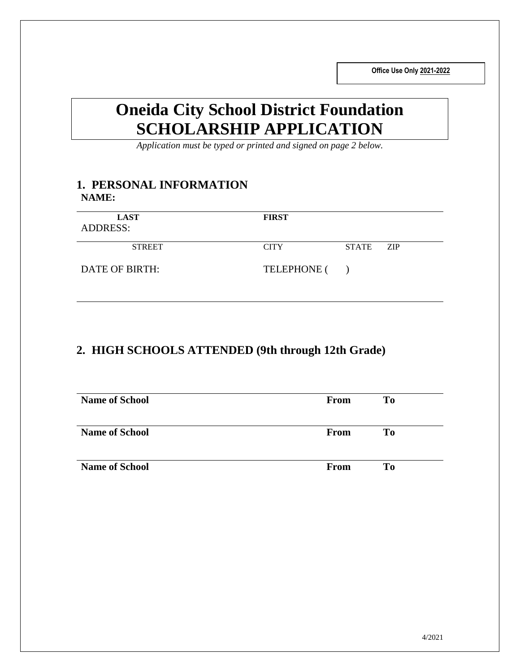**Office Use Only 2021-2022**

# **Oneida City School District Foundation SCHOLARSHIP APPLICATION**

*Application must be typed or printed and signed on page 2 below.*

### **1. PERSONAL INFORMATION NAME:**

| <b>LAST</b><br><b>ADDRESS:</b> | <b>FIRST</b> |              |     |
|--------------------------------|--------------|--------------|-----|
| <b>STREET</b>                  | <b>CITY</b>  | <b>STATE</b> | ZIP |
| DATE OF BIRTH:                 | TELEPHONE () |              |     |

## **2. HIGH SCHOOLS ATTENDED (9th through 12th Grade)**

| <b>Name of School</b> | <b>From</b> | T <sub>0</sub> |  |
|-----------------------|-------------|----------------|--|
| <b>Name of School</b> | <b>From</b> | T <sub>0</sub> |  |
| <b>Name of School</b> | From        | To             |  |